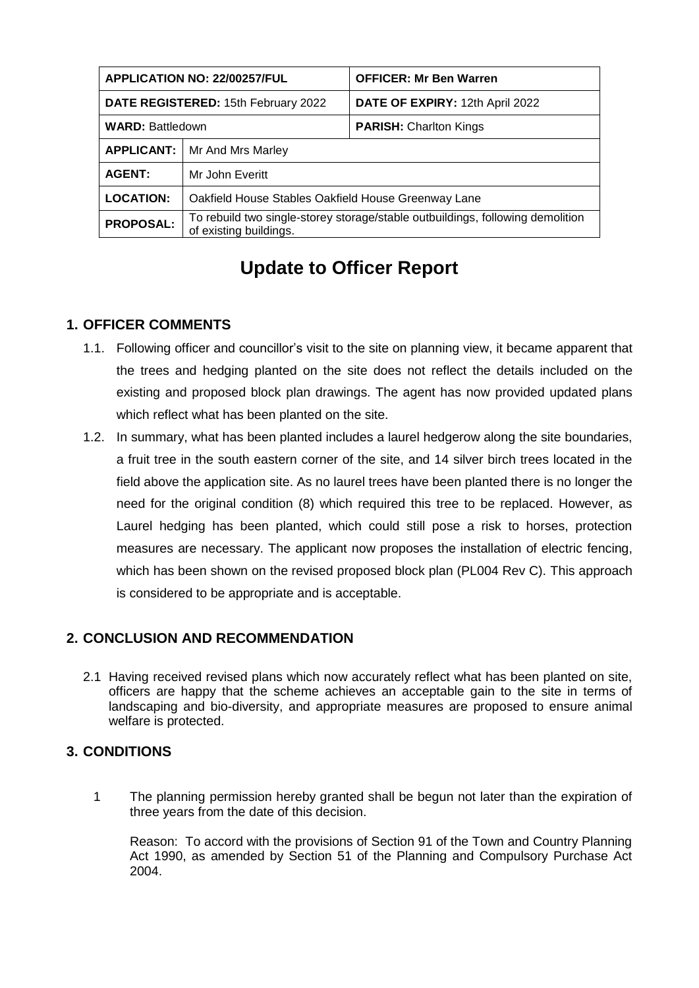| <b>APPLICATION NO: 22/00257/FUL</b> |                                                                                                          | <b>OFFICER: Mr Ben Warren</b>   |
|-------------------------------------|----------------------------------------------------------------------------------------------------------|---------------------------------|
| DATE REGISTERED: 15th February 2022 |                                                                                                          | DATE OF EXPIRY: 12th April 2022 |
| <b>WARD: Battledown</b>             |                                                                                                          | <b>PARISH:</b> Charlton Kings   |
| <b>APPLICANT:</b>                   | Mr And Mrs Marley                                                                                        |                                 |
| <b>AGENT:</b>                       | Mr John Everitt                                                                                          |                                 |
| <b>LOCATION:</b>                    | Oakfield House Stables Oakfield House Greenway Lane                                                      |                                 |
| <b>PROPOSAL:</b>                    | To rebuild two single-storey storage/stable outbuildings, following demolition<br>of existing buildings. |                                 |

# **Update to Officer Report**

## **1. OFFICER COMMENTS**

- 1.1. Following officer and councillor's visit to the site on planning view, it became apparent that the trees and hedging planted on the site does not reflect the details included on the existing and proposed block plan drawings. The agent has now provided updated plans which reflect what has been planted on the site.
- 1.2. In summary, what has been planted includes a laurel hedgerow along the site boundaries, a fruit tree in the south eastern corner of the site, and 14 silver birch trees located in the field above the application site. As no laurel trees have been planted there is no longer the need for the original condition (8) which required this tree to be replaced. However, as Laurel hedging has been planted, which could still pose a risk to horses, protection measures are necessary. The applicant now proposes the installation of electric fencing, which has been shown on the revised proposed block plan (PL004 Rev C). This approach is considered to be appropriate and is acceptable.

## **2. CONCLUSION AND RECOMMENDATION**

2.1 Having received revised plans which now accurately reflect what has been planted on site, officers are happy that the scheme achieves an acceptable gain to the site in terms of landscaping and bio-diversity, and appropriate measures are proposed to ensure animal welfare is protected.

## **3. CONDITIONS**

1 The planning permission hereby granted shall be begun not later than the expiration of three years from the date of this decision.

Reason: To accord with the provisions of Section 91 of the Town and Country Planning Act 1990, as amended by Section 51 of the Planning and Compulsory Purchase Act 2004.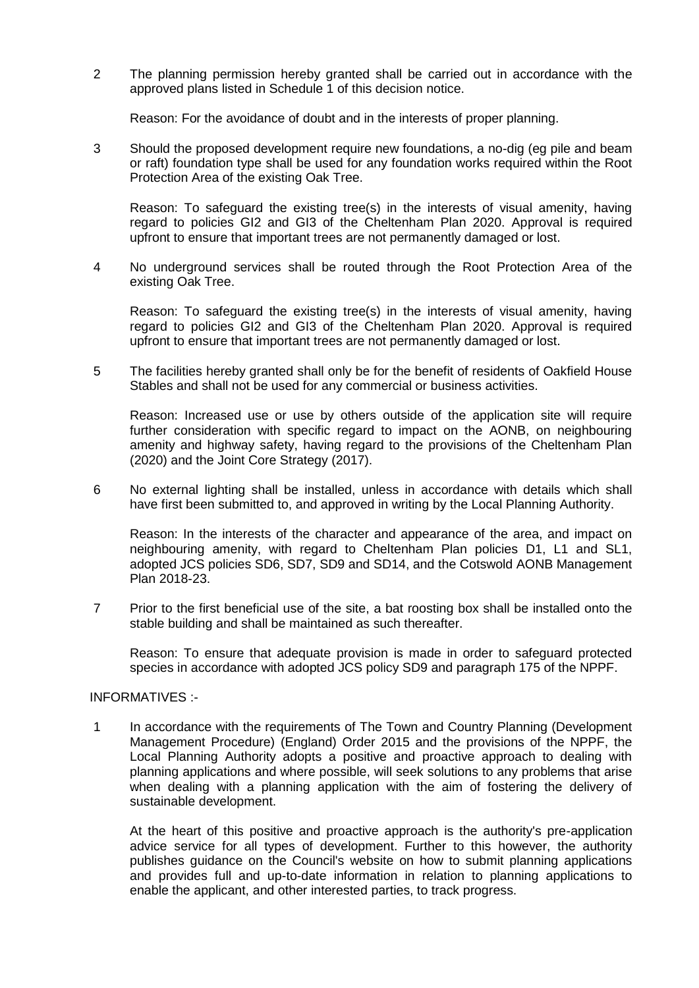2 The planning permission hereby granted shall be carried out in accordance with the approved plans listed in Schedule 1 of this decision notice.

Reason: For the avoidance of doubt and in the interests of proper planning.

3 Should the proposed development require new foundations, a no-dig (eg pile and beam or raft) foundation type shall be used for any foundation works required within the Root Protection Area of the existing Oak Tree.

Reason: To safeguard the existing tree(s) in the interests of visual amenity, having regard to policies GI2 and GI3 of the Cheltenham Plan 2020. Approval is required upfront to ensure that important trees are not permanently damaged or lost.

4 No underground services shall be routed through the Root Protection Area of the existing Oak Tree.

Reason: To safeguard the existing tree(s) in the interests of visual amenity, having regard to policies GI2 and GI3 of the Cheltenham Plan 2020. Approval is required upfront to ensure that important trees are not permanently damaged or lost.

5 The facilities hereby granted shall only be for the benefit of residents of Oakfield House Stables and shall not be used for any commercial or business activities.

Reason: Increased use or use by others outside of the application site will require further consideration with specific regard to impact on the AONB, on neighbouring amenity and highway safety, having regard to the provisions of the Cheltenham Plan (2020) and the Joint Core Strategy (2017).

6 No external lighting shall be installed, unless in accordance with details which shall have first been submitted to, and approved in writing by the Local Planning Authority.

Reason: In the interests of the character and appearance of the area, and impact on neighbouring amenity, with regard to Cheltenham Plan policies D1, L1 and SL1, adopted JCS policies SD6, SD7, SD9 and SD14, and the Cotswold AONB Management Plan 2018-23.

7 Prior to the first beneficial use of the site, a bat roosting box shall be installed onto the stable building and shall be maintained as such thereafter.

Reason: To ensure that adequate provision is made in order to safeguard protected species in accordance with adopted JCS policy SD9 and paragraph 175 of the NPPF.

### INFORMATIVES :-

1 In accordance with the requirements of The Town and Country Planning (Development Management Procedure) (England) Order 2015 and the provisions of the NPPF, the Local Planning Authority adopts a positive and proactive approach to dealing with planning applications and where possible, will seek solutions to any problems that arise when dealing with a planning application with the aim of fostering the delivery of sustainable development.

At the heart of this positive and proactive approach is the authority's pre-application advice service for all types of development. Further to this however, the authority publishes guidance on the Council's website on how to submit planning applications and provides full and up-to-date information in relation to planning applications to enable the applicant, and other interested parties, to track progress.